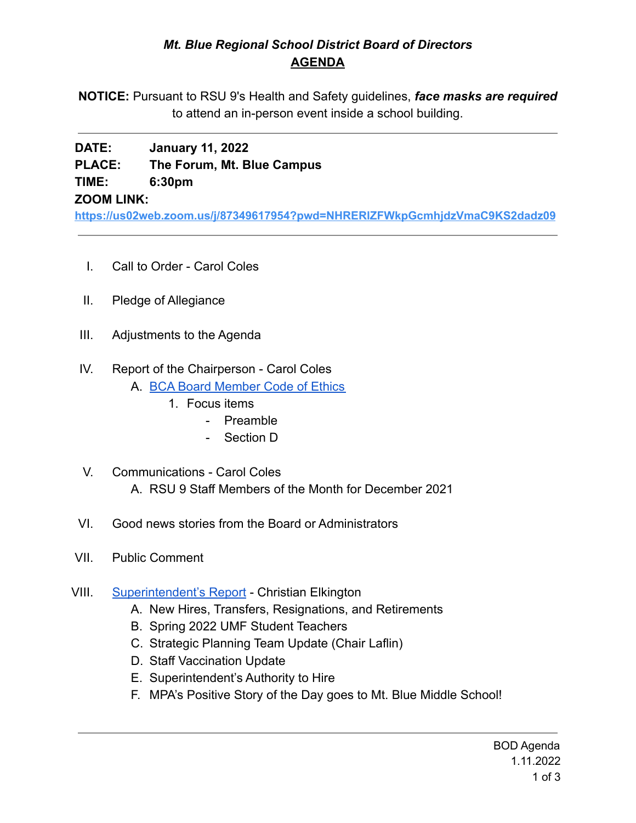## *Mt. Blue Regional School District Board of Directors* **AGENDA**

**NOTICE:** Pursuant to RSU 9's Health and Safety guidelines, *face masks are required* to attend an in-person event inside a school building.

# **DATE: January 11, 2022 PLACE: The Forum, Mt. Blue Campus TIME: 6:30pm**

**ZOOM LINK:**

**<https://us02web.zoom.us/j/87349617954?pwd=NHRERlZFWkpGcmhjdzVmaC9KS2dadz09>**

- I. Call to Order Carol Coles
- II. Pledge of Allegiance
- III. Adjustments to the Agenda
- IV. Report of the Chairperson Carol Coles
	- A. [BCA Board Member Code of Ethics](https://cdn.branchcms.com/yeQ4XpK43n-1155/docs/district/board-of-directors/policy-manual/section-b/BCA-Board-Member-Code-of-Ethics.pdf)
		- 1. Focus items
			- Preamble
			- Section D
- V. Communications Carol Coles A. RSU 9 Staff Members of the Month for December 2021
- VI. Good news stories from the Board or Administrators
- VII. Public Comment
- VIII. [Superintendent's Report](https://drive.google.com/file/d/1eKX6l3riSEs9zntGUWqChCFwzq8LVsfI/view?usp=sharing) Christian Elkington
	- A. New Hires, Transfers, Resignations, and Retirements
	- B. Spring 2022 UMF Student Teachers
	- C. Strategic Planning Team Update (Chair Laflin)
	- D. Staff Vaccination Update
	- E. Superintendent's Authority to Hire
	- F. MPA's Positive Story of the Day goes to Mt. Blue Middle School!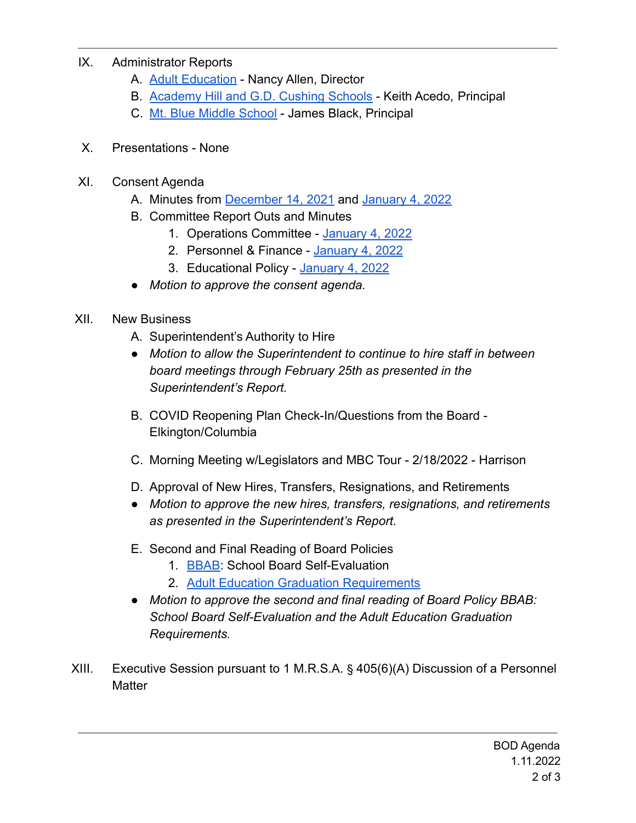## IX. Administrator Reports

- A. **[Adult Education](https://drive.google.com/file/d/1oBIUU1tETRowERCA2CCqV6ff6Aombne2/view?usp=sharing)** Nancy Allen, Director
- B. [Academy Hill and G.D. Cushing Schools](https://drive.google.com/file/d/1TgOtwq94DfRFfhX3HB99XfUBuCmdknPo/view?usp=sharing) Keith Acedo, Principal
- C. [Mt. Blue Middle School](https://drive.google.com/file/d/1lmrbyKT4n63RfuhbGJIhoECpNQ_lLvFz/view?usp=sharing) James Black, Principal
- X. Presentations None
- XI. Consent Agenda
	- A. Minutes from [December 14, 2021](https://drive.google.com/file/d/1puh8BEkHKz-BH4XsA4Wefy-2lMLJXFjB/view?usp=sharing) and [January 4, 2022](https://drive.google.com/file/d/1NtjGgJQteo8DPcpfzbDHmNM8ovp7kzvX/view?usp=sharing)
	- B. Committee Report Outs and Minutes
		- 1. Operations Committee [January 4, 2022](https://drive.google.com/file/d/1sJyZn7rnhvRM0vWqRZY0EpjjTP5AIWB4/view?usp=sharing)
		- 2. Personnel & Finance [January 4, 2022](https://drive.google.com/file/d/1CCbBpw8JYN6yl5MJmJzad9NLVbemKXoR/view?usp=sharing)
		- 3. Educational Policy [January 4, 2022](https://drive.google.com/file/d/1qeUU9ofKfjUH9iwoPo4qoy1BgiV6aFmD/view?usp=sharing)
	- *Motion to approve the consent agenda.*
- XII. New Business
	- A. Superintendent's Authority to Hire
	- *● Motion to allow the Superintendent to continue to hire staff in between board meetings through February 25th as presented in the Superintendent's Report.*
	- B. COVID Reopening Plan Check-In/Questions from the Board Elkington/Columbia
	- C. Morning Meeting w/Legislators and MBC Tour 2/18/2022 Harrison
	- D. Approval of New Hires, Transfers, Resignations, and Retirements
	- *● Motion to approve the new hires, transfers, resignations, and retirements as presented in the Superintendent's Report.*
	- E. Second and Final Reading of Board Policies
		- 1. **[BBAB](https://drive.google.com/file/d/1EZdMpgcETHu45SyMsk95vI9hiNYI6TG1/view?usp=sharing): School Board Self-Evaluation**
		- 2. [Adult Education Graduation Requirements](https://drive.google.com/file/d/1FbE7BcgP5u043uLCjAMXcHhJ-gI8S9Jm/view?usp=sharing)
	- *● Motion to approve the second and final reading of Board Policy BBAB: School Board Self-Evaluation and the Adult Education Graduation Requirements.*
- XIII. Executive Session pursuant to 1 M.R.S.A. § 405(6)(A) Discussion of a Personnel **Matter**